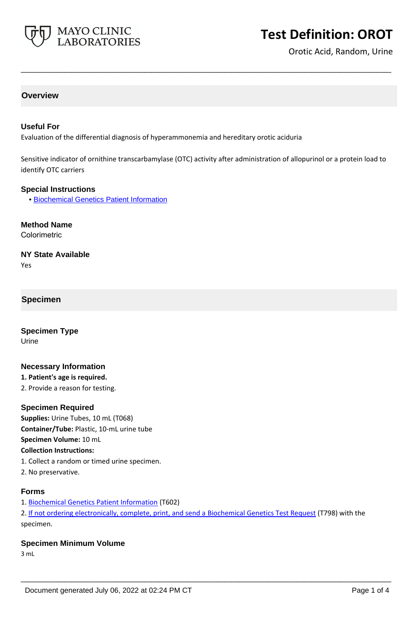

# **Test Definition: OROT**

Orotic Acid, Random, Urine

# **Overview**

## **Useful For**

Evaluation of the differential diagnosis of hyperammonemia and hereditary orotic aciduria

Sensitive indicator of ornithine transcarbamylase (OTC) activity after administration of allopurinol or a protein load to identify OTC carriers

**\_\_\_\_\_\_\_\_\_\_\_\_\_\_\_\_\_\_\_\_\_\_\_\_\_\_\_\_\_\_\_\_\_\_\_\_\_\_\_\_\_\_\_\_\_\_\_\_\_\_\_**

#### **Special Instructions**

• [Biochemical Genetics Patient Information](http://www.mayocliniclabs.com/it-mmfiles/BiochemicalPtInfo.pdf)

**Method Name** Colorimetric

# **NY State Available**

Yes

## **Specimen**

**Specimen Type** Urine

## **Necessary Information**

**1. Patient's age is required.**

2. Provide a reason for testing.

#### **Specimen Required**

**Supplies:** Urine Tubes, 10 mL (T068) **Container/Tube:** Plastic, 10-mL urine tube **Specimen Volume:** 10 mL **Collection Instructions:** 1. Collect a random or timed urine specimen.

2. No preservative.

#### **Forms**

1. [Biochemical Genetics Patient Information](http://www.mayocliniclabs.com/it-mmfiles/BiochemicalPtInfo.pdf) (T602)

2. If not ordering electronically, complete, print, and send a [Biochemical Genetics Test Request](https://www.mayocliniclabs.com/it-mmfiles/iem-request-form.pdf) (T798) with the specimen.

**\_\_\_\_\_\_\_\_\_\_\_\_\_\_\_\_\_\_\_\_\_\_\_\_\_\_\_\_\_\_\_\_\_\_\_\_\_\_\_\_\_\_\_\_\_\_\_\_\_\_\_**

#### **Specimen Minimum Volume**

3 mL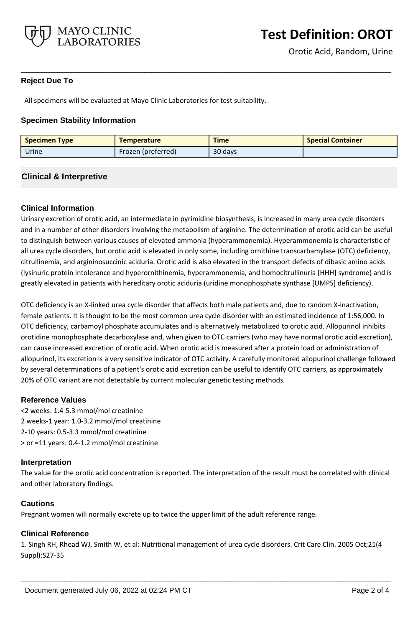

# **Reject Due To**

All specimens will be evaluated at Mayo Clinic Laboratories for test suitability.

## **Specimen Stability Information**

| <b>Specimen Type</b> | <b>Temperature</b> | <b>Time</b> | <b>Special Container</b> |
|----------------------|--------------------|-------------|--------------------------|
| Urine                | Frozen (preferred) | 30 days     |                          |

**\_\_\_\_\_\_\_\_\_\_\_\_\_\_\_\_\_\_\_\_\_\_\_\_\_\_\_\_\_\_\_\_\_\_\_\_\_\_\_\_\_\_\_\_\_\_\_\_\_\_\_**

## **Clinical & Interpretive**

## **Clinical Information**

Urinary excretion of orotic acid, an intermediate in pyrimidine biosynthesis, is increased in many urea cycle disorders and in a number of other disorders involving the metabolism of arginine. The determination of orotic acid can be useful to distinguish between various causes of elevated ammonia (hyperammonemia). Hyperammonemia is characteristic of all urea cycle disorders, but orotic acid is elevated in only some, including ornithine transcarbamylase (OTC) deficiency, citrullinemia, and argininosuccinic aciduria. Orotic acid is also elevated in the transport defects of dibasic amino acids (lysinuric protein intolerance and hyperornithinemia, hyperammonemia, and homocitrullinuria [HHH] syndrome) and is greatly elevated in patients with hereditary orotic aciduria (uridine monophosphate synthase [UMPS] deficiency).

OTC deficiency is an X-linked urea cycle disorder that affects both male patients and, due to random X-inactivation, female patients. It is thought to be the most common urea cycle disorder with an estimated incidence of 1:56,000. In OTC deficiency, carbamoyl phosphate accumulates and is alternatively metabolized to orotic acid. Allopurinol inhibits orotidine monophosphate decarboxylase and, when given to OTC carriers (who may have normal orotic acid excretion), can cause increased excretion of orotic acid. When orotic acid is measured after a protein load or administration of allopurinol, its excretion is a very sensitive indicator of OTC activity. A carefully monitored allopurinol challenge followed by several determinations of a patient's orotic acid excretion can be useful to identify OTC carriers, as approximately 20% of OTC variant are not detectable by current molecular genetic testing methods.

## **Reference Values**

<2 weeks: 1.4-5.3 mmol/mol creatinine 2 weeks-1 year: 1.0-3.2 mmol/mol creatinine 2-10 years: 0.5-3.3 mmol/mol creatinine > or =11 years: 0.4-1.2 mmol/mol creatinine

## **Interpretation**

The value for the orotic acid concentration is reported. The interpretation of the result must be correlated with clinical and other laboratory findings.

## **Cautions**

Pregnant women will normally excrete up to twice the upper limit of the adult reference range.

## **Clinical Reference**

1. Singh RH, Rhead WJ, Smith W, et al: Nutritional management of urea cycle disorders. Crit Care Clin. 2005 Oct;21(4 Suppl):S27-35

**\_\_\_\_\_\_\_\_\_\_\_\_\_\_\_\_\_\_\_\_\_\_\_\_\_\_\_\_\_\_\_\_\_\_\_\_\_\_\_\_\_\_\_\_\_\_\_\_\_\_\_**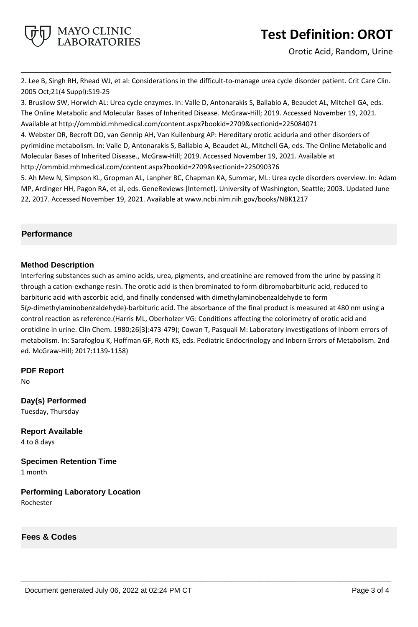

Orotic Acid, Random, Urine

2. Lee B, Singh RH, Rhead WJ, et al: Considerations in the difficult-to-manage urea cycle disorder patient. Crit Care Clin. 2005 Oct;21(4 Suppl):S19-25

**\_\_\_\_\_\_\_\_\_\_\_\_\_\_\_\_\_\_\_\_\_\_\_\_\_\_\_\_\_\_\_\_\_\_\_\_\_\_\_\_\_\_\_\_\_\_\_\_\_\_\_**

3. Brusilow SW, Horwich AL: Urea cycle enzymes. In: Valle D, Antonarakis S, Ballabio A, Beaudet AL, Mitchell GA, eds. The Online Metabolic and Molecular Bases of Inherited Disease. McGraw-Hill; 2019. Accessed November 19, 2021. Available at http://ommbid.mhmedical.com/content.aspx?bookid=2709&sectionid=225084071

4. Webster DR, Becroft DO, van Gennip AH, Van Kuilenburg AP: Hereditary orotic aciduria and other disorders of pyrimidine metabolism. In: Valle D, Antonarakis S, Ballabio A, Beaudet AL, Mitchell GA, eds. The Online Metabolic and Molecular Bases of Inherited Disease., McGraw-Hill; 2019. Accessed November 19, 2021. Available at http://ommbid.mhmedical.com/content.aspx?bookid=2709&sectionid=225090376

5. Ah Mew N, Simpson KL, Gropman AL, Lanpher BC, Chapman KA, Summar, ML: Urea cycle disorders overview. In: Adam MP, Ardinger HH, Pagon RA, et al, eds. GeneReviews [Internet]. University of Washington, Seattle; 2003. Updated June 22, 2017. Accessed November 19, 2021. Available at www.ncbi.nlm.nih.gov/books/NBK1217

# **Performance**

## **Method Description**

Interfering substances such as amino acids, urea, pigments, and creatinine are removed from the urine by passing it through a cation-exchange resin. The orotic acid is then brominated to form dibromobarbituric acid, reduced to barbituric acid with ascorbic acid, and finally condensed with dimethylaminobenzaldehyde to form 5(*p*-dimethylaminobenzaldehyde)-barbituric acid. The absorbance of the final product is measured at 480 nm using a control reaction as reference.(Harris ML, Oberholzer VG: Conditions affecting the colorimetry of orotic acid and orotidine in urine. Clin Chem. 1980;26[3]:473-479); Cowan T, Pasquali M: Laboratory investigations of inborn errors of metabolism. In: Sarafoglou K, Hoffman GF, Roth KS, eds. Pediatric Endocrinology and Inborn Errors of Metabolism. 2nd ed. McGraw-Hill; 2017:1139-1158)

**\_\_\_\_\_\_\_\_\_\_\_\_\_\_\_\_\_\_\_\_\_\_\_\_\_\_\_\_\_\_\_\_\_\_\_\_\_\_\_\_\_\_\_\_\_\_\_\_\_\_\_**

**PDF Report**

No

**Day(s) Performed** Tuesday, Thursday

**Report Available** 4 to 8 days

**Specimen Retention Time** 1 month

**Performing Laboratory Location** Rochester

**Fees & Codes**